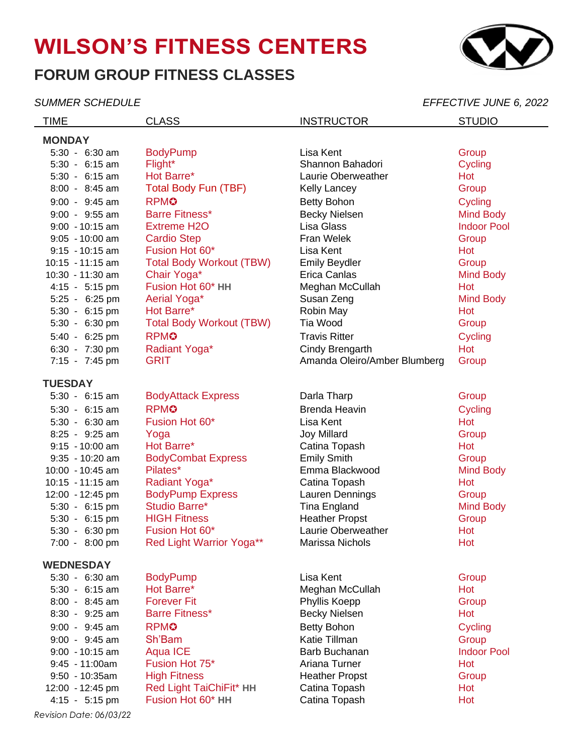# **WILSON'S FITNESS CENTERS**

## **FORUM GROUP FITNESS CLASSES**

*SUMMER SCHEDULE EFFECTIVE JUNE 6, 2022*

TIME CLASS CLASS INSTRUCTOR STUDIO **MONDAY** 5:30 - 6:30 am BodyPump Lisa Kent Group 5:30 - 6:15 am Flight\* Shannon Bahadori Cycling 5:30 - 6:15 am Hot Barre\* Laurie Oberweather Hot 8:00 - 8:45 am Total Body Fun (TBF) Kelly Lancey Croup 9:00 - 9:45 am RPMC Betty Bohon Betty Bohon Cycling 9:00 - 9:55 am Barre Fitness\* Becky Nielsen Barre Mind Body 9:00 - 10:15 am Extreme H2O Lisa Glass Indoor Pool 9:05 - 10:00 am Cardio Step Fran Welek Group 9:15 - 10:15 am Fusion Hot 60\* Lisa Kent Hot 10:15 - 11:15 am Total Body Workout (TBW) Finily Beydler Connection Croup 10:30 - 11:30 am Chair Yoga\* Erica Canlas Mind Body 4:15 - 5:15 pm Fusion Hot 60\* **HH** Meghan McCullah Hot 5:25 - 6:25 pm Aerial Yoga\* Susan Zeng Mind Body 5:30 - 6:15 pm Hot Barre\* Robin May Robin May Hot 5:30 - 6:30 pm Total Body Workout (TBW) Tia Wood Group 5:40 - 6:25 pm RPM**☉** Research Cycling Travis Ritter Cycling 6:30 - 7:30 pm Radiant Yoga\* Cindy Brengarth Hot 7:15 - 7:45 pm GRIT GRIT Amanda Oleiro/Amber Blumberg Group **TUESDAY** 5:30 - 6:15 am BodyAttack Express Darla Tharp Croup Group 5:30 - 6:15 am RPM✪ Brenda Heavin Cycling 5:30 - 6:30 am Fusion Hot 60\* Lisa Kent Hot 8:25 - 9:25 am Yoga Joy Millard Group 9:15 - 10:00 am Hot Barre\* Catina Topash Hot 9:35 - 10:20 am BodyCombat Express Emily Smith Emily Smith 10:00 - 10:45 am Pilates\* Emma Blackwood Mind Body 10:15 - 11:15 am Radiant Yoga\* Catina Topash Hot 12:00 - 12:45 pm BodyPump Express Lauren Dennings Group 5:30 - 6:15 pm Studio Barre\* Tina England Mind Body 5:30 - 6:15 pm HIGH Fitness Heather Propst Group 5:30 - 6:30 pm Fusion Hot 60\* Laurie Oberweather Hot 7:00 - 8:00 pm Red Light Warrior Yoga\*\* Marissa Nichols Hot **WEDNESDAY** 5:30 - 6:30 am BodyPump Lisa Kent Group 5:30 - 6:15 am Hot Barre\* **Meghan McCullah** Hot 8:00 - 8:45 am Forever Fit **Phyllis Koepp Formulate Strategie Community** Broup 8:30 - 9:25 am Barre Fitness\* Becky Nielsen Hot 9:00 - 9:45 am RPMC RESOLUTION Betty Bohon Betty Bohon Cycling 9:00 - 9:45 am Sh'Bam Katie Tillman Group 9:00 - 10:15 am Aqua ICE **Barb Barb Buchanan** Indoor Pool 9:45 - 11:00am Fusion Hot 75\* Ariana Turner Hot 9:50 - 10:35am High Fitness Heather Propst Group 12:00 - 12:45 pm Red Light TaiChiFit\* **HH** Catina Topash Hot 4:15 - 5:15 pm Fusion Hot 60\* **HH** Catina Topash Hot

*Revision Date: 06/03/22*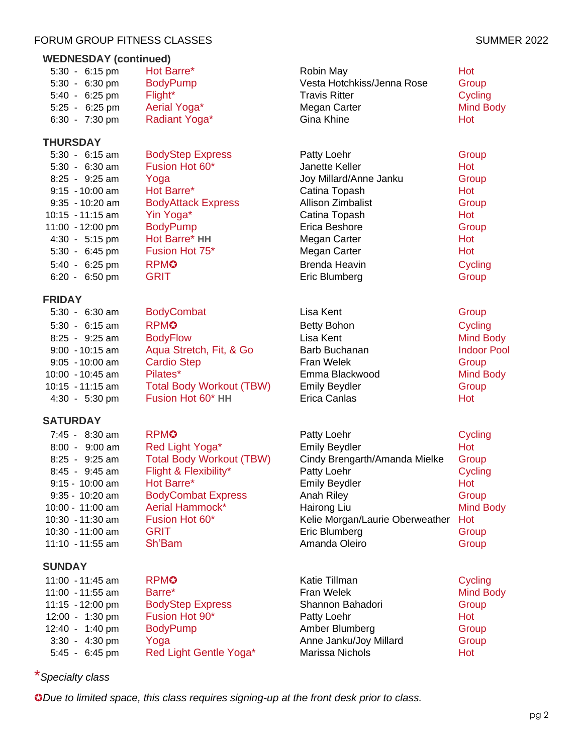## FORUM GROUP FITNESS CLASSES SUMMER 2022

## **WEDNESDAY (continued)**

| $5:30 - 6:15$ pm         | Hot Barre*      |
|--------------------------|-----------------|
| 5:30 - 6:30 pm           | <b>BodyPump</b> |
| $5:40 - 6:25 \text{ pm}$ | Flight*         |
| 5:25 - 6:25 pm           | Aerial Yoga*    |
| 6:30 - 7:30 pm           | Radiant Yoga*   |

## **THURSDAY**

| $5:30 - 6:15$ am         | <b>BodyStep Express</b>   | Patty Loehr              | Group   |
|--------------------------|---------------------------|--------------------------|---------|
| $5:30 - 6:30$ am         | Fusion Hot 60*            | Janette Keller           | Hot     |
| $8:25 - 9:25$ am         | Yoga                      | Joy Millard/Anne Janku   | Group   |
| $9:15 - 10:00$ am        | Hot Barre*                | Catina Topash            | Hot     |
| $9:35 - 10:20$ am        | <b>BodyAttack Express</b> | <b>Allison Zimbalist</b> | Group   |
| 10:15 - 11:15 am         | Yin Yoga*                 | Catina Topash            | Hot     |
| 11:00 - 12:00 pm         | <b>BodyPump</b>           | Erica Beshore            | Group   |
| $4:30 - 5:15 \text{ pm}$ | Hot Barre* HH             | Megan Carter             | Hot     |
| 5:30 - 6:45 pm           | Fusion Hot 75*            | Megan Carter             | Hot     |
| 5:40 - 6:25 pm           | <b>RPMO</b>               | Brenda Heavin            | Cycling |
| $6:20 - 6:50 \text{ pm}$ | <b>GRIT</b>               | Eric Blumberg            | Group   |

## **FRIDAY**

| $5:30 - 6:30$ am         | <b>BodyCombat</b>               | Lisa Kent            | Group              |
|--------------------------|---------------------------------|----------------------|--------------------|
| $5:30 - 6:15$ am         | <b>RPMO</b>                     | <b>Betty Bohon</b>   | Cycling            |
| $8:25 - 9:25$ am         | <b>BodyFlow</b>                 | Lisa Kent            | Mind Body          |
| $9:00 - 10:15$ am        | Aqua Stretch, Fit, & Go         | Barb Buchanan        | <b>Indoor Pool</b> |
| $9:05 - 10:00$ am        | <b>Cardio Step</b>              | Fran Welek           | Group              |
| 10:00 - 10:45 am         | Pilates*                        | Emma Blackwood       | Mind Body          |
| $10:15 - 11:15$ am       | <b>Total Body Workout (TBW)</b> | <b>Emily Beydler</b> | Group              |
| $4:30 - 5:30 \text{ pm}$ | Fusion Hot 60* HH               | Erica Canlas         | Hot                |

## **SATURDAY**

| $7:45 - 8:30$ am  | <b>RPMO</b>                     | Patty Loehr                     | Cycling          |
|-------------------|---------------------------------|---------------------------------|------------------|
| $8:00 - 9:00$ am  | Red Light Yoga*                 | <b>Emily Beydler</b>            | Hot              |
| $8:25 - 9:25$ am  | <b>Total Body Workout (TBW)</b> | Cindy Brengarth/Amanda Mielke   | Group            |
| $8:45 - 9:45$ am  | Flight & Flexibility*           | Patty Loehr                     | Cycling          |
| $9:15 - 10:00$ am | Hot Barre*                      | <b>Emily Beydler</b>            | Hot              |
| $9:35 - 10:20$ am | <b>BodyCombat Express</b>       | Anah Riley                      | Group            |
| 10:00 - 11:00 am  | Aerial Hammock*                 | Hairong Liu                     | <b>Mind Body</b> |
| 10:30 - 11:30 am  | Fusion Hot 60*                  | Kelie Morgan/Laurie Oberweather | Hot              |
| 10:30 - 11:00 am  | <b>GRIT</b>                     | Eric Blumberg                   | Group            |
| 11:10 - 11:55 am  | Sh'Bam                          | Amanda Oleiro                   | Group            |

## **SUNDAY**

| 11:00 - 11:45 am           | <b>RPMO</b>             | Katie Tillman          | Cycling          |
|----------------------------|-------------------------|------------------------|------------------|
| 11:00 - 11:55 am           | Barre*                  | Fran Welek             | <b>Mind Body</b> |
| $11:15 - 12:00 \text{ pm}$ | <b>BodyStep Express</b> | Shannon Bahadori       | Group            |
| 12:00 - 1:30 pm            | Fusion Hot 90*          | Patty Loehr            | Hot              |
| 12:40 - 1:40 pm            | <b>BodyPump</b>         | Amber Blumberg         | Group            |
| $3:30 - 4:30 \text{ pm}$   | Yoga                    | Anne Janku/Joy Millard | Group            |
| $5:45 - 6:45$ pm           | Red Light Gentle Yoga*  | Marissa Nichols        | Hot              |

## \**Specialty class*

✪*Due to limited space, this class requires signing-up at the front desk prior to class.*

Robin May **Hot** Barrett Hot Barrett Hot Barrett Hot Barrett Hot Barrett Hot Barrett Hot Barrett Hot Barrett Hot Barrett Hot Barrett Hot Barrett Hot Barrett Hot Barrett Hot Barrett Hot Barrett Hot Barrett Hot Barrett Hot Ba Vesta Hotchkiss/Jenna Rose Group Travis Ritter **Cycling** Megan Carter **Mind Body** Mind Body

Gina Khine **All Radiant Yougake** Hot

pg 2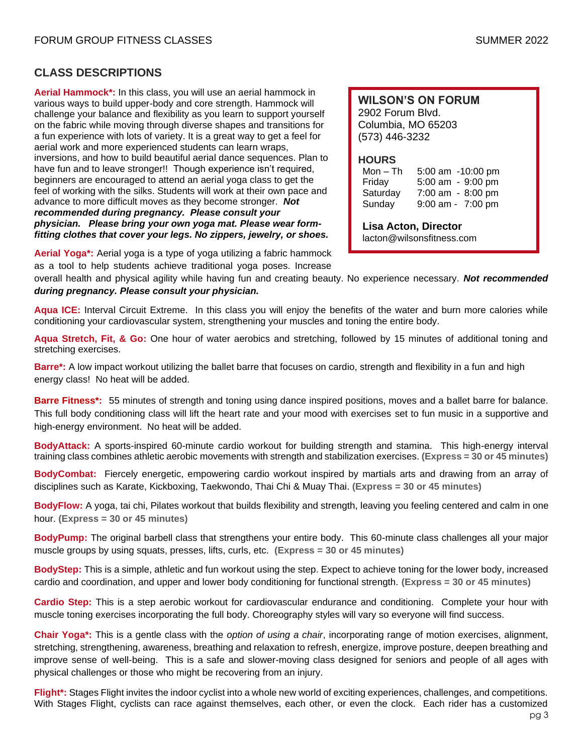## **CLASS DESCRIPTIONS**

**Aerial Hammock\*:** In this class, you will use an aerial hammock in various ways to build upper-body and core strength. Hammock will challenge your balance and flexibility as you learn to support yourself on the fabric while moving through diverse shapes and transitions for a fun experience with lots of variety. It is a great way to get a feel for aerial work and more experienced students can learn wraps, inversions, and how to build beautiful aerial dance sequences. Plan to have fun and to leave stronger!! Though experience isn't required, beginners are encouraged to attend an aerial yoga class to get the feel of working with the silks. Students will work at their own pace and advance to more difficult moves as they become stronger. *Not recommended during pregnancy. Please consult your physician. Please bring your own yoga mat. Please wear formfitting clothes that cover your legs. No zippers, jewelry, or shoes.*

**WILSON'S ON FORUM** 2902 Forum Blvd. Columbia, MO 65203 (573) 446-3232

#### **HOURS**

Mon – Th 5:00 am -10:00 pm Friday 5:00 am - 9:00 pm Saturday 7:00 am - 8:00 pm Sunday 9:00 am - 7:00 pm

**Lisa Acton, Director** lacton@wilsonsfitness.com

**Aerial Yoga\*:** Aerial yoga is a type of yoga utilizing a fabric hammock

as a tool to help students achieve traditional yoga poses. Increase overall health and physical agility while having fun and creating beauty. No experience necessary. *Not recommended* 

*during pregnancy. Please consult your physician.*

**Aqua ICE:** Interval Circuit Extreme. In this class you will enjoy the benefits of the water and burn more calories while conditioning your cardiovascular system, strengthening your muscles and toning the entire body.

**Aqua Stretch, Fit, & Go:** One hour of water aerobics and stretching, followed by 15 minutes of additional toning and stretching exercises.

**Barre\*:** A low impact workout utilizing the ballet barre that focuses on cardio, strength and flexibility in a fun and high energy class! No heat will be added.

**Barre Fitness\*:** 55 minutes of strength and toning using dance inspired positions, moves and a ballet barre for balance. This full body conditioning class will lift the heart rate and your mood with exercises set to fun music in a supportive and high-energy environment. No heat will be added.

**BodyAttack:** A sports-inspired 60-minute cardio workout for building strength and stamina. This high-energy interval training class combines athletic aerobic movements with strength and stabilization exercises. **(Express = 30 or 45 minutes)**

**BodyCombat:** Fiercely energetic, empowering cardio workout inspired by martials arts and drawing from an array of disciplines such as Karate, Kickboxing, Taekwondo, Thai Chi & Muay Thai. **(Express = 30 or 45 minutes)**

**BodyFlow:** A yoga, tai chi, Pilates workout that builds flexibility and strength, leaving you feeling centered and calm in one hour. **(Express = 30 or 45 minutes)**

**BodyPump:** The original barbell class that strengthens your entire body. This 60-minute class challenges all your major muscle groups by using squats, presses, lifts, curls, etc. **(Express = 30 or 45 minutes)**

**BodyStep:** This is a simple, athletic and fun workout using the step. Expect to achieve toning for the lower body, increased cardio and coordination, and upper and lower body conditioning for functional strength. **(Express = 30 or 45 minutes)**

**Cardio Step:** This is a step aerobic workout for cardiovascular endurance and conditioning. Complete your hour with muscle toning exercises incorporating the full body. Choreography styles will vary so everyone will find success.

**Chair Yoga\*:** This is a gentle class with the *option of using a chair*, incorporating range of motion exercises, alignment, stretching, strengthening, awareness, breathing and relaxation to refresh, energize, improve posture, deepen breathing and improve sense of well-being. This is a safe and slower-moving class designed for seniors and people of all ages with physical challenges or those who might be recovering from an injury.

**Flight\*:** Stages Flight invites the indoor cyclist into a whole new world of exciting experiences, challenges, and competitions. With Stages Flight, cyclists can race against themselves, each other, or even the clock. Each rider has a customized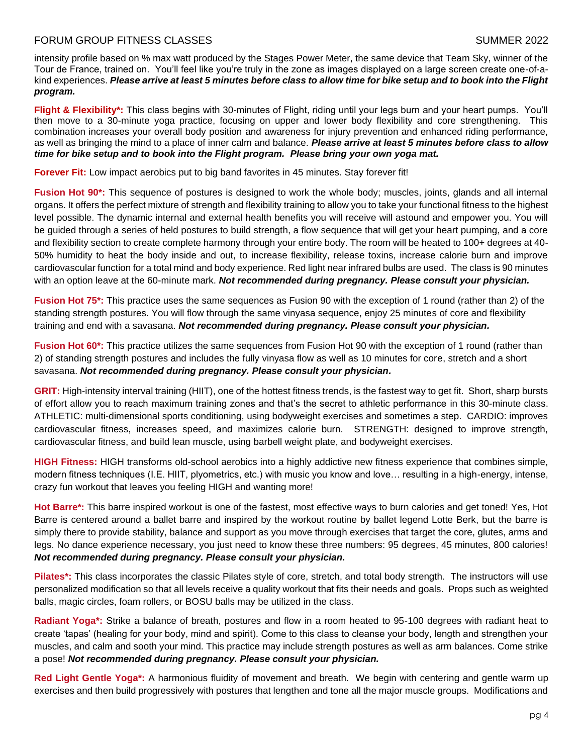## FORUM GROUP FITNESS CLASSES SUMMER 2022

intensity profile based on % max watt produced by the Stages Power Meter, the same device that Team Sky, winner of the Tour de France, trained on. You'll feel like you're truly in the zone as images displayed on a large screen create one-of-akind experiences. *Please arrive at least 5 minutes before class to allow time for bike setup and to book into the Flight program.*

**Flight & Flexibility\*:** This class begins with 30-minutes of Flight, riding until your legs burn and your heart pumps. You'll then move to a 30-minute yoga practice, focusing on upper and lower body flexibility and core strengthening. This combination increases your overall body position and awareness for injury prevention and enhanced riding performance, as well as bringing the mind to a place of inner calm and balance. *Please arrive at least 5 minutes before class to allow time for bike setup and to book into the Flight program. Please bring your own yoga mat.*

**Forever Fit:** Low impact aerobics put to big band favorites in 45 minutes. Stay forever fit!

**Fusion Hot 90\*:** This sequence of postures is designed to work the whole body; muscles, joints, glands and all internal organs. It offers the perfect mixture of strength and flexibility training to allow you to take your functional fitness to the highest level possible. The dynamic internal and external health benefits you will receive will astound and empower you. You will be guided through a series of held postures to build strength, a flow sequence that will get your heart pumping, and a core and flexibility section to create complete harmony through your entire body. The room will be heated to 100+ degrees at 40-50% humidity to heat the body inside and out, to increase flexibility, release toxins, increase calorie burn and improve cardiovascular function for a total mind and body experience. Red light near infrared bulbs are used. The class is 90 minutes with an option leave at the 60-minute mark. *Not recommended during pregnancy. Please consult your physician.*

**Fusion Hot 75\*:** This practice uses the same sequences as Fusion 90 with the exception of 1 round (rather than 2) of the standing strength postures. You will flow through the same vinyasa sequence, enjoy 25 minutes of core and flexibility training and end with a savasana. *Not recommended during pregnancy. Please consult your physician.*

**Fusion Hot 60\*:** This practice utilizes the same sequences from Fusion Hot 90 with the exception of 1 round (rather than 2) of standing strength postures and includes the fully vinyasa flow as well as 10 minutes for core, stretch and a short savasana. *Not recommended during pregnancy. Please consult your physician.*

**GRIT:** High-intensity interval training (HIIT), one of the hottest fitness trends, is the fastest way to get fit. Short, sharp bursts of effort allow you to reach maximum training zones and that's the secret to athletic performance in this 30-minute class. ATHLETIC: multi-dimensional sports conditioning, using bodyweight exercises and sometimes a step. CARDIO: improves cardiovascular fitness, increases speed, and maximizes calorie burn. STRENGTH: designed to improve strength, cardiovascular fitness, and build lean muscle, using barbell weight plate, and bodyweight exercises.

**HIGH Fitness:** HIGH transforms old-school aerobics into a highly addictive new fitness experience that combines simple, modern fitness techniques (I.E. HIIT, plyometrics, etc.) with music you know and love… resulting in a high-energy, intense, crazy fun workout that leaves you feeling HIGH and wanting more!

**Hot Barre\*:** This barre inspired workout is one of the fastest, most effective ways to burn calories and get toned! Yes, Hot Barre is centered around a ballet barre and inspired by the workout routine by ballet legend Lotte Berk, but the barre is simply there to provide stability, balance and support as you move through exercises that target the core, glutes, arms and legs. No dance experience necessary, you just need to know these three numbers: 95 degrees, 45 minutes, 800 calories! *Not recommended during pregnancy. Please consult your physician.*

**Pilates\*:** This class incorporates the classic Pilates style of core, stretch, and total body strength. The instructors will use personalized modification so that all levels receive a quality workout that fits their needs and goals. Props such as weighted balls, magic circles, foam rollers, or BOSU balls may be utilized in the class.

**Radiant Yoga\*:** Strike a balance of breath, postures and flow in a room heated to 95-100 degrees with radiant heat to create 'tapas' (healing for your body, mind and spirit). Come to this class to cleanse your body, length and strengthen your muscles, and calm and sooth your mind. This practice may include strength postures as well as arm balances. Come strike a pose! *Not recommended during pregnancy. Please consult your physician.*

**Red Light Gentle Yoga\*:** A harmonious fluidity of movement and breath. We begin with centering and gentle warm up exercises and then build progressively with postures that lengthen and tone all the major muscle groups. Modifications and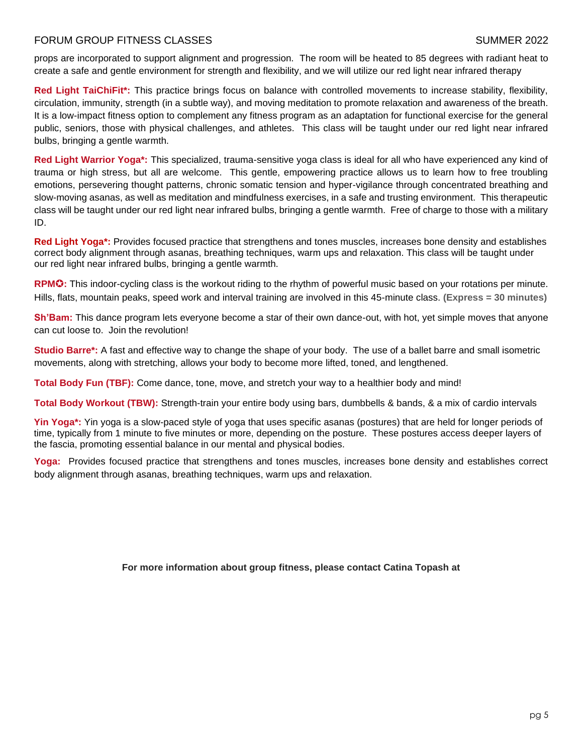## FORUM GROUP FITNESS CLASSES SUMMER 2022

props are incorporated to support alignment and progression. The room will be heated to 85 degrees with radiant heat to create a safe and gentle environment for strength and flexibility, and we will utilize our red light near infrared therapy

**Red Light TaiChiFit\*:** This practice brings focus on balance with controlled movements to increase stability, flexibility, circulation, immunity, strength (in a subtle way), and moving meditation to promote relaxation and awareness of the breath. It is a low-impact fitness option to complement any fitness program as an adaptation for functional exercise for the general public, seniors, those with physical challenges, and athletes. This class will be taught under our red light near infrared bulbs, bringing a gentle warmth.

**Red Light Warrior Yoga\*:** This specialized, trauma-sensitive yoga class is ideal for all who have experienced any kind of trauma or high stress, but all are welcome. This gentle, empowering practice allows us to learn how to free troubling emotions, persevering thought patterns, chronic somatic tension and hyper-vigilance through concentrated breathing and slow-moving asanas, as well as meditation and mindfulness exercises, in a safe and trusting environment. This therapeutic class will be taught under our red light near infrared bulbs, bringing a gentle warmth. Free of charge to those with a military ID.

**Red Light Yoga\*:** Provides focused practice that strengthens and tones muscles, increases bone density and establishes correct body alignment through asanas, breathing techniques, warm ups and relaxation. This class will be taught under our red light near infrared bulbs, bringing a gentle warmth.

**RPM**✪**:** This indoor-cycling class is the workout riding to the rhythm of powerful music based on your rotations per minute. Hills, flats, mountain peaks, speed work and interval training are involved in this 45-minute class. **(Express = 30 minutes)**

**Sh'Bam:** This dance program lets everyone become a star of their own dance-out, with hot, yet simple moves that anyone can cut loose to. Join the revolution!

**Studio Barre\*:** A fast and effective way to change the shape of your body. The use of a ballet barre and small isometric movements, along with stretching, allows your body to become more lifted, toned, and lengthened.

**Total Body Fun (TBF):** Come dance, tone, move, and stretch your way to a healthier body and mind!

**Total Body Workout (TBW):** Strength-train your entire body using bars, dumbbells & bands, & a mix of cardio intervals

Yin Yoga<sup>\*</sup>: Yin yoga is a slow-paced style of yoga that uses specific asanas (postures) that are held for longer periods of time, typically from 1 minute to five minutes or more, depending on the posture. These postures access deeper layers of the fascia, promoting essential balance in our mental and physical bodies.

**Yoga:** Provides focused practice that strengthens and tones muscles, increases bone density and establishes correct body alignment through asanas, breathing techniques, warm ups and relaxation.

**For more information about group fitness, please contact Catina Topash at**